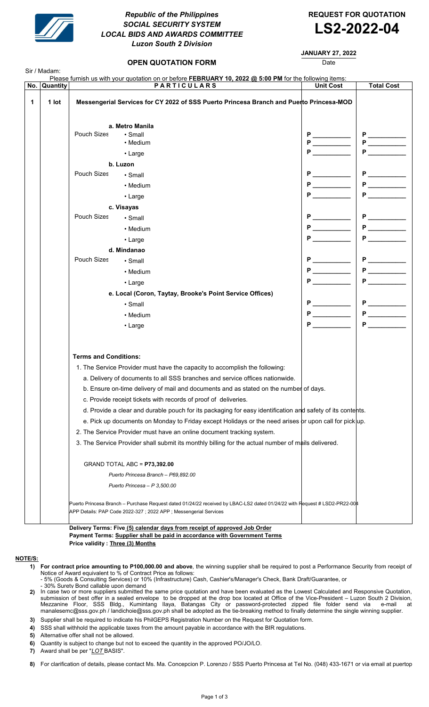

# SOCIAL SECURITY SYSTEM SOCIAL SECURITY SYSTEM<br>LOCAL BIDS AND AWARDS COMMITTEE **LS2-2022-04** Republic of the Philippines Luzon South 2 Division

OPEN QUOTATION FORM

REQUEST FOR QUOTATION

## JANUARY 27, 2022

Date

| No. | Quantity |                                                                                         | <b>PARTICULARS</b>                                                                                                                                                                             | <b>Unit Cost</b> | <b>Total Cost</b>                                                                                                                                                                                                                   |
|-----|----------|-----------------------------------------------------------------------------------------|------------------------------------------------------------------------------------------------------------------------------------------------------------------------------------------------|------------------|-------------------------------------------------------------------------------------------------------------------------------------------------------------------------------------------------------------------------------------|
|     | 1 lot    | Messengerial Services for CY 2022 of SSS Puerto Princesa Branch and Puerto Princesa-MOD |                                                                                                                                                                                                |                  |                                                                                                                                                                                                                                     |
|     |          | a. Metro Manila                                                                         |                                                                                                                                                                                                |                  |                                                                                                                                                                                                                                     |
|     |          | Pouch Sizes                                                                             | • Small                                                                                                                                                                                        |                  |                                                                                                                                                                                                                                     |
|     |          |                                                                                         | • Medium                                                                                                                                                                                       |                  | $P \xrightarrow{\qquad P \qquad \qquad }$                                                                                                                                                                                           |
|     |          |                                                                                         | • Large                                                                                                                                                                                        |                  | P                                                                                                                                                                                                                                   |
|     |          |                                                                                         | b. Luzon                                                                                                                                                                                       |                  |                                                                                                                                                                                                                                     |
|     |          | Pouch Sizes                                                                             | $\cdot$ Small                                                                                                                                                                                  |                  | P                                                                                                                                                                                                                                   |
|     |          |                                                                                         | • Medium                                                                                                                                                                                       | P                | P                                                                                                                                                                                                                                   |
|     |          |                                                                                         | • Large                                                                                                                                                                                        | Р                | P                                                                                                                                                                                                                                   |
|     |          |                                                                                         | c. Visayas                                                                                                                                                                                     |                  |                                                                                                                                                                                                                                     |
|     |          | <b>Pouch Sizes</b>                                                                      | • Small                                                                                                                                                                                        |                  |                                                                                                                                                                                                                                     |
|     |          |                                                                                         | • Medium                                                                                                                                                                                       |                  | P                                                                                                                                                                                                                                   |
|     |          |                                                                                         | $\cdot$ Large                                                                                                                                                                                  | Р                | P.                                                                                                                                                                                                                                  |
|     |          |                                                                                         | d. Mindanao                                                                                                                                                                                    |                  |                                                                                                                                                                                                                                     |
|     |          | Pouch Sizes                                                                             | • Small                                                                                                                                                                                        |                  | P                                                                                                                                                                                                                                   |
|     |          |                                                                                         | • Medium                                                                                                                                                                                       |                  | <b>P</b> and the set of the set of the set of the set of the set of the set of the set of the set of the set of the set of the set of the set of the set of the set of the set of the set of the set of the set of the set of the s |
|     |          |                                                                                         | $\cdot$ Large                                                                                                                                                                                  | P                | <b>P</b>                                                                                                                                                                                                                            |
|     |          |                                                                                         | e. Local (Coron, Taytay, Brooke's Point Service Offices)                                                                                                                                       |                  |                                                                                                                                                                                                                                     |
|     |          |                                                                                         | • Small                                                                                                                                                                                        | P                | P                                                                                                                                                                                                                                   |
|     |          |                                                                                         | • Medium                                                                                                                                                                                       |                  |                                                                                                                                                                                                                                     |
|     |          |                                                                                         |                                                                                                                                                                                                | P                | P <sub>2</sub>                                                                                                                                                                                                                      |
|     |          |                                                                                         | $\cdot$ Large                                                                                                                                                                                  |                  |                                                                                                                                                                                                                                     |
|     |          | <b>Terms and Conditions:</b>                                                            |                                                                                                                                                                                                |                  |                                                                                                                                                                                                                                     |
|     |          |                                                                                         | 1. The Service Provider must have the capacity to accomplish the following:                                                                                                                    |                  |                                                                                                                                                                                                                                     |
|     |          |                                                                                         | a. Delivery of documents to all SSS branches and service offices nationwide.                                                                                                                   |                  |                                                                                                                                                                                                                                     |
|     |          |                                                                                         | b. Ensure on-time delivery of mail and documents and as stated on the number of days.                                                                                                          |                  |                                                                                                                                                                                                                                     |
|     |          |                                                                                         | c. Provide receipt tickets with records of proof of deliveries.                                                                                                                                |                  |                                                                                                                                                                                                                                     |
|     |          |                                                                                         | d. Provide a clear and durable pouch for its packaging for easy identification and safety of its contents.                                                                                     |                  |                                                                                                                                                                                                                                     |
|     |          |                                                                                         | e. Pick up documents on Monday to Friday except Holidays or the need arises or upon call for pick up.                                                                                          |                  |                                                                                                                                                                                                                                     |
|     |          |                                                                                         | 2. The Service Provider must have an online document tracking system.                                                                                                                          |                  |                                                                                                                                                                                                                                     |
|     |          |                                                                                         | 3. The Service Provider shall submit its monthly billing for the actual number of mails delivered.                                                                                             |                  |                                                                                                                                                                                                                                     |
|     |          |                                                                                         | GRAND TOTAL ABC = P73,392.00                                                                                                                                                                   |                  |                                                                                                                                                                                                                                     |
|     |          |                                                                                         | Puerto Princesa Branch - P69,892.00                                                                                                                                                            |                  |                                                                                                                                                                                                                                     |
|     |          |                                                                                         | Puerto Princesa - P 3,500.00                                                                                                                                                                   |                  |                                                                                                                                                                                                                                     |
|     |          |                                                                                         | Puerto Princesa Branch – Purchase Request dated 01/24/22 received by LBAC-LS2 dated 01/24/22 with Request # LSD2-PR22-004<br>APP Details: PAP Code 2022-327 ; 2022 APP ; Messengerial Services |                  |                                                                                                                                                                                                                                     |

#### NOTE/S:

- 1) For contract price amounting to P100,000.00 and above, the winning supplier shall be required to post a Performance Security from receipt of Notice of Award equivalent to % of Contract Price as follows:
	- 5% (Goods & Consulting Services) or 10% (Infrastructure) Cash, Cashier's/Manager's Check, Bank Draft/Guarantee, or
- 30% Surety Bond callable upon demand
- 2) In case two or more suppliers submitted the same price quotation and have been evaluated as the Lowest Calculated and Responsive Quotation, submission of best offer in a sealed envelope to be dropped at the drop box located at Office of the Vice-President – Luzon South 2 Division, Mezzanine Floor, SSS Bldg., Kumintang Ilaya, Batangas City or password-protected zipped file folder send via e-mail at manalesemc@sss.gov.ph / landichoie@sss.gov.ph shall be adopted as the tie-breaking method to finally determine the single winning supplier.
- 3) Supplier shall be required to indicate his PhilGEPS Registration Number on the Request for Quotation form.
- 4) SSS shall withhold the applicable taxes from the amount payable in accordance with the BIR regulations.
- 5) Alternative offer shall not be allowed.
- 6) Quantity is subject to change but not to exceed the quantity in the approved PO/JO/LO.

7) Award shall be per "<u>LOT BASIS"</u>.

**8)** For clarification of details, please contact Ms. Ma. Concepcion P. Lorenzo / SSS Puerto Princesa at Tel No. (048) 433-1671 or via email at puertop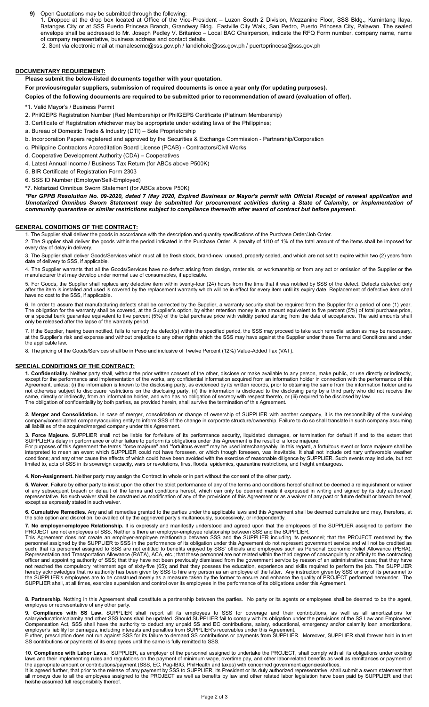9) Open Quotations may be submitted through the following:

1. Dropped at the drop box located at Office of the Vice-President – Luzon South 2 Division, Mezzanine Floor, SSS Bldg., Kumintang Ilaya, Batangas City or at SSS Puerto Princesa Branch, Grandway Bldg., Eastville City Walk, San Pedro, Puerto Princesa City, Palawan. The sealed envelope shall be addressed to Mr. Joseph Pedley V. Britanico – Local BAC Chairperson, indicate the RFQ Form number, company name, name of company representative, business address and contact details.

2. Sent via electronic mail at manalesemc@sss.gov.ph / landichoie@sss.gov.ph / puertoprincesa@sss.gov.ph

#### DOCUMENTARY REQUIREMENT:

Please submit the below-listed documents together with your quotation.

For previous/regular suppliers, submission of required documents is once a year only (for updating purposes).

Copies of the following documents are required to be submitted prior to recommendation of award (evaluation of offer).

\*1. Valid Mayor's / Business Permit

2. PhilGEPS Registration Number (Red Membership) or PhilGEPS Certificate (Platinum Membership)

3. Certificate of Registration whichever may be appropriate under existing laws of the Philippines;

a. Bureau of Domestic Trade & Industry (DTI) – Sole Proprietorship

b. Incorporation Papers registered and approved by the Securities & Exchange Commission - Partnership/Corporation

c. Philippine Contractors Accreditation Board License (PCAB) - Contractors/Civil Works

d. Cooperative Development Authority (CDA) – Cooperatives

4. Latest Annual Income / Business Tax Return (for ABCs above P500K)

5. BIR Certificate of Registration Form 2303

6. SSS ID Number (Employer/Self-Employed)

\*7. Notarized Omnibus Sworn Statement (for ABCs above P50K)

\*Per GPPB Resolution No. 09-2020, dated 7 May 2020, Expired Business or Mayor's permit with Official Receipt of renewal application and Unnotarized Omnibus Sworn Statement may be submitted for procurement activities during a State of Calamity, or implementation of community quarantine or similar restrictions subject to compliance therewith after award of contract but before payment.

### GENERAL CONDITIONS OF THE CONTRACT:

1. The Supplier shall deliver the goods in accordance with the description and quantity specifications of the Purchase Order/Job Order.

2. The Supplier shall deliver the goods within the period indicated in the Purchase Order. A penalty of 1/10 of 1% of the total amount of the items shall be imposed for every day of delay in delivery.

3. The Supplier shall deliver Goods/Services which must all be fresh stock, brand-new, unused, properly sealed, and which are not set to expire within two (2) years from date of delivery to SSS, if applicable.

4. The Supplier warrants that all the Goods/Services have no defect arising from design, materials, or workmanship or from any act or omission of the Supplier or the manufacturer that may develop under normal use of consumables, if applicable.

5. For Goods, the Supplier shall replace any defective item within twenty-four (24) hours from the time that it was notified by SSS of the defect. Defects detected only after the item is installed and used is covered by the replacement warranty which will be in effect for every item until its expiry date. Replacement of defective item shall have no cost to the SSS, if applicable.

6. In order to assure that manufacturing defects shall be corrected by the Supplier, a warranty security shall be required from the Supplier for a period of one (1) year. The obligation for the warranty shall be covered, at the Supplier's option, by either retention money in an amount equivalent to five percent (5%) of total purchase price, or a special bank guarantee equivalent to five percent (5%) of the total purchase price with validity period starting from the date of acceptance. The said amounts shall only be released after the lapse of the warranty period.

7. If the Supplier, having been notified, fails to remedy the defect(s) within the specified period, the SSS may proceed to take such remedial action as may be necessary, at the Supplier's risk and expense and without prejudice to any other rights which the SSS may have against the Supplier under these Terms and Conditions and under the applicable law.

8. The pricing of the Goods/Services shall be in Peso and inclusive of Twelve Percent (12%) Value-Added Tax (VAT).

#### SPECIAL CONDITIONS OF THE CONTRACT:

1. Confidentiality. Neither party shall, without the prior written consent of the other, disclose or make available to any person, make public, or use directly or indirectly, except for the performance and implementation of the works, any confidential information acquired from an information holder in connection with the performance of this Agreement, unless: (i) the information is known to the disclosing party, as evidenced by its written records, prior to obtaining the same from the information holder and is not otherwise subject to disclosure restrictions on the disclosing party, (ii) the information is disclosed to the disclosing party by a third party who did not receive the same, directly or indirectly, from an information holder, and who has no obligation of secrecy with respect thereto, or (iii) required to be disclosed by law. The obligation of confidentiality by both parties, as provided herein, shall survive the termination of this Agreement.

2. Merger and Consolidation. In case of merger, consolidation or change of ownership of SUPPLIER with another company, it is the responsibility of the surviving company/consolidated company/acquiring entity to inform SSS of the change in corporate structure/ownership. Failure to do so shall translate in such company assuming all liabilities of the acquired/merged company under this Agreement.

3. Force Majeure. SUPPLIER shall not be liable for forfeiture of its performance security, liquidated damages, or termination for default if and to the extent that SUPPLIER's delay in performance or other failure to perform its obligations under this Agreement is the result of a force majeure.

For purposes of this Agreement the terms "force majeure" and "fortuitous event" may be used interchangeably. In this regard, a fortuitous event or force majeure shall be interpreted to mean an event which SUPPLIER could not have foreseen, or which though foreseen, was inevitable. It shall not include ordinary unfavorable weather conditions; and any other cause the effects of which could have been avoided with the exercise of reasonable diligence by SUPPLIER. Such events may include, but not limited to, acts of SSS in its sovereign capacity, wars or revolutions, fires, floods, epidemics, quarantine restrictions, and freight embargoes.

4. Non-Assignment. Neither party may assign the Contract in whole or in part without the consent of the other party.

5. Waiver. Failure by either party to insist upon the other the strict performance of any of the terms and conditions hereof shall not be deemed a relinquishment or waiver of any subsequent breach or default of the terms and conditions hereof, which can only be deemed made if expressed in writing and signed by its duly authorized representative. No such waiver shall be construed as modification of any of the provisions of this Agreement or as a waiver of any past or future default or breach hereof, except as expressly stated in such waiver.

6. Cumulative Remedies. Any and all remedies granted to the parties under the applicable laws and this Agreement shall be deemed cumulative and may, therefore, at the sole option and discretion, be availed of by the aggrieved party simultaneously, successively, or independently.

7. No employer-employee Relationship. It is expressly and manifestly understood and agreed upon that the employees of the SUPPLIER assigned to perform the PROJECT are not employees of SSS. Neither is there an employer-employee relationship between SSS and the SUPPLIER.

This Agreement does not create an employer-employee relationship between SSS and the SUPPLIER including its personnel; that the PROJECT rendered by the personnel assigned by the SUPPLIER to SSS in the performance of its obligation under this Agreement do not represent government service and will not be credited as such; that its personnel assigned to SSS are not entitled to benefits enjoyed by SSS' officials and employees such as Personal Economic Relief Allowance (PERA), Representation and Transportation Allowance (RATA), ACA, etc.; that these personnel are not related within the third degree of consanguinity or affinity to the contracting officer and appointing authority of SSS; that they have not been previously dismissed from the government service by reason of an administrative case; that they have not reached the compulsory retirement age of sixty-five (65); and that they possess the education, experience and skills required to perform the job. The SUPPLIER hereby acknowledges that no authority has been given by SSS to hire any person as an employee of the latter. Any instruction given by SSS or any of its personnel to the SUPPLIER's employees are to be construed merely as a measure taken by the former to ensure and enhance the quality of PROJECT performed hereunder. The SUPPLIER shall, at all times, exercise supervision and control over its employees in the performance of its obligations under this Agreement.

8. Partnership. Nothing in this Agreement shall constitute a partnership between the parties. No party or its agents or employees shall be deemed to be the agent, employee or representative of any other party.

9. Compliance with SS Law. SUPPLIER shall report all its employees to SSS for coverage and their contributions, as well as all amortizations for salary/education/calamity and other SSS loans shall be updated. Should SUPPLIER fail to comply with its obligation under the provisions of the SS Law and Employees' Compensation Act, SSS shall have the authority to deduct any unpaid SS and EC contributions, salary, educational, emergency and/or calamity loan amortizations, employer's liability for damages, including interests and penalties from SUPPLIER's receivables under this Agreement. Further, prescription does not run against SSS for its failure to demand SS contributions or payments from SUPPLIER. Moreover, SUPPLIER shall forever hold in trust

SS contributions or payments of its employees until the same is fully remitted to SSS.

10. Compliance with Labor Laws. SUPPLIER, as employer of the personnel assigned to undertake the PROJECT, shall comply with all its obligations under existing laws and their implementing rules and regulations on the payment of minimum wage, overtime pay, and other labor-related benefits as well as remittances or payment of the appropriate amount or contributions/payment (SSS, EC, Pag-IBIG, PhilHealth and taxes) with concerned government agencies/offices. It is agreed further, that prior to the release of any payment by SSS to SUPPLIER, its President or its duly authorized representative, shall submit a sworn statement that all moneys due to all the employees assigned to the PROJECT as well as benefits by law and other related labor legislation have been paid by SUPPLIER and that he/she assumed full responsibility thereof.